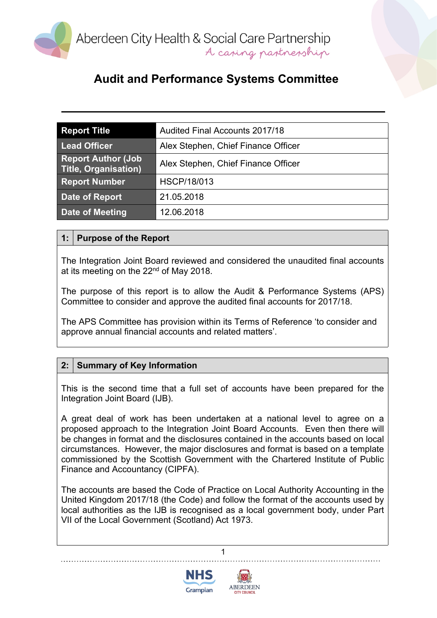

## **Audit and Performance Systems Committee**

| <b>Report Title</b>                               | <b>Audited Final Accounts 2017/18</b> |
|---------------------------------------------------|---------------------------------------|
| <b>Lead Officer</b>                               | Alex Stephen, Chief Finance Officer   |
| <b>Report Author (Job</b><br>Title, Organisation) | Alex Stephen, Chief Finance Officer   |
| <b>Report Number</b>                              | <b>HSCP/18/013</b>                    |
| Date of Report                                    | 21.05.2018                            |
| Date of Meeting                                   | 12.06.2018                            |

#### **1: Purpose of the Report**

The Integration Joint Board reviewed and considered the unaudited final accounts at its meeting on the 22<sup>nd</sup> of May 2018.

The purpose of this report is to allow the Audit & Performance Systems (APS) Committee to consider and approve the audited final accounts for 2017/18.

The APS Committee has provision within its Terms of Reference 'to consider and approve annual financial accounts and related matters'.

#### **2: Summary of Key Information**

This is the second time that a full set of accounts have been prepared for the Integration Joint Board (IJB).

A great deal of work has been undertaken at a national level to agree on a proposed approach to the Integration Joint Board Accounts. Even then there will be changes in format and the disclosures contained in the accounts based on local circumstances. However, the major disclosures and format is based on a template commissioned by the Scottish Government with the Chartered Institute of Public Finance and Accountancy (CIPFA).

The accounts are based the Code of Practice on Local Authority Accounting in the United Kingdom 2017/18 (the Code) and follow the format of the accounts used by local authorities as the IJB is recognised as a local government body, under Part VII of the Local Government (Scotland) Act 1973.

1



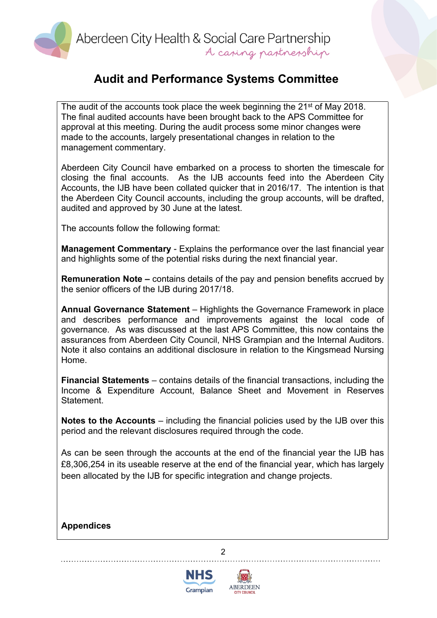Aberdeen City Health & Social Care Partnership A caring partnership

## **Audit and Performance Systems Committee**

The audit of the accounts took place the week beginning the 21<sup>st</sup> of May 2018. The final audited accounts have been brought back to the APS Committee for approval at this meeting. During the audit process some minor changes were made to the accounts, largely presentational changes in relation to the management commentary.

Aberdeen City Council have embarked on a process to shorten the timescale for closing the final accounts. As the IJB accounts feed into the Aberdeen City Accounts, the IJB have been collated quicker that in 2016/17. The intention is that the Aberdeen City Council accounts, including the group accounts, will be drafted, audited and approved by 30 June at the latest.

The accounts follow the following format:

**Management Commentary** - Explains the performance over the last financial year and highlights some of the potential risks during the next financial year.

**Remuneration Note –** contains details of the pay and pension benefits accrued by the senior officers of the IJB during 2017/18.

**Annual Governance Statement** – Highlights the Governance Framework in place and describes performance and improvements against the local code of governance. As was discussed at the last APS Committee, this now contains the assurances from Aberdeen City Council, NHS Grampian and the Internal Auditors. Note it also contains an additional disclosure in relation to the Kingsmead Nursing Home.

**Financial Statements** – contains details of the financial transactions, including the Income & Expenditure Account, Balance Sheet and Movement in Reserves Statement.

**Notes to the Accounts** – including the financial policies used by the IJB over this period and the relevant disclosures required through the code.

As can be seen through the accounts at the end of the financial year the IJB has £8,306,254 in its useable reserve at the end of the financial year, which has largely been allocated by the IJB for specific integration and change projects.

2

**Appendices**



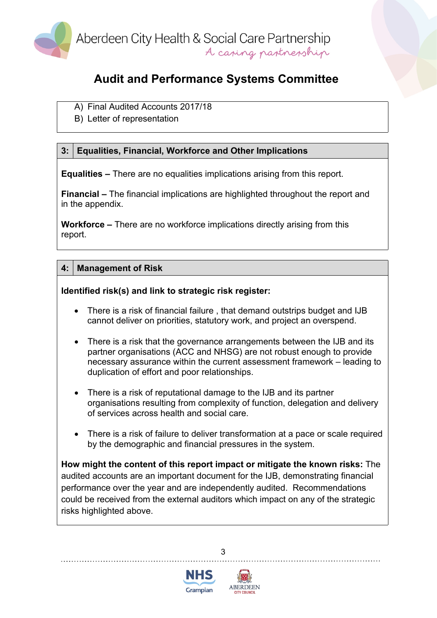

# **Audit and Performance Systems Committee**

- A) Final Audited Accounts 2017/18
- B) Letter of representation

## **3: Equalities, Financial, Workforce and Other Implications**

**Equalities –** There are no equalities implications arising from this report.

**Financial –** The financial implications are highlighted throughout the report and in the appendix.

**Workforce –** There are no workforce implications directly arising from this report.

### **4: Management of Risk**

#### **Identified risk(s) and link to strategic risk register:**

- There is a risk of financial failure , that demand outstrips budget and IJB cannot deliver on priorities, statutory work, and project an overspend.
- There is a risk that the governance arrangements between the IJB and its partner organisations (ACC and NHSG) are not robust enough to provide necessary assurance within the current assessment framework – leading to duplication of effort and poor relationships.
- There is a risk of reputational damage to the IJB and its partner organisations resulting from complexity of function, delegation and delivery of services across health and social care.
- There is a risk of failure to deliver transformation at a pace or scale required by the demographic and financial pressures in the system.

**How might the content of this report impact or mitigate the known risks:** The audited accounts are an important document for the IJB, demonstrating financial performance over the year and are independently audited. Recommendations could be received from the external auditors which impact on any of the strategic risks highlighted above.

3